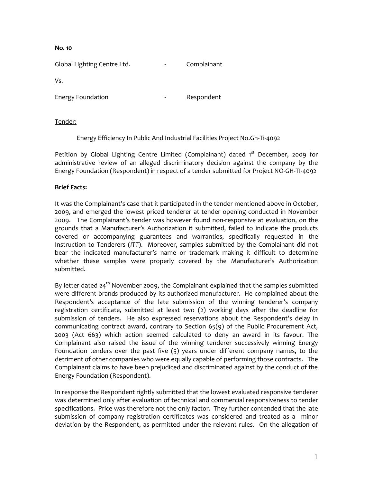**No. 10**

Global Lighting Centre Ltd. The Complainant

Vs.

Energy Foundation **Energy Foundation** 

# Tender:

Energy Efficiency In Public And Industrial Facilities Project No.Gh-Ti-4092

Petition by Global Lighting Centre Limited (Complainant) dated 1<sup>st</sup> December, 2009 for administrative review of an alleged discriminatory decision against the company by the Energy Foundation (Respondent) in respect of a tender submitted for Project NO-GH-TI-4092

# **Brief Facts:**

It was the Complainant's case that it participated in the tender mentioned above in October, 2009, and emerged the lowest priced tenderer at tender opening conducted in November 2009. The Complainant's tender was however found non-responsive at evaluation, on the grounds that a Manufacturer's Authorization it submitted, failed to indicate the products covered or accompanying guarantees and warranties, specifically requested in the Instruction to Tenderers (*ITT*). Moreover, samples submitted by the Complainant did not bear the indicated manufacturer's name or trademark making it difficult to determine whether these samples were properly covered by the Manufacturer's Authorization submitted.

By letter dated  $24<sup>th</sup>$  November 2009, the Complainant explained that the samples submitted were different brands produced by its authorized manufacturer. He complained about the Respondent's acceptance of the late submission of the winning tenderer's company registration certificate, submitted at least two (2) working days after the deadline for submission of tenders. He also expressed reservations about the Respondent's delay in communicating contract award, contrary to Section 65(9) of the Public Procurement Act, 2003 (Act 663) which action seemed calculated to deny an award in its favour. The Complainant also raised the issue of the winning tenderer successively winning Energy Foundation tenders over the past five (5) years under different company names, to the detriment of other companies who were equally capable of performing those contracts. The Complainant claims to have been prejudiced and discriminated against by the conduct of the Energy Foundation (Respondent).

In response the Respondent rightly submitted that the lowest evaluated responsive tenderer was determined only after evaluation of technical and commercial responsiveness to tender specifications. Price was therefore not the only factor. They further contended that the late submission of company registration certificates was considered and treated as a minor deviation by the Respondent, as permitted under the relevant rules. On the allegation of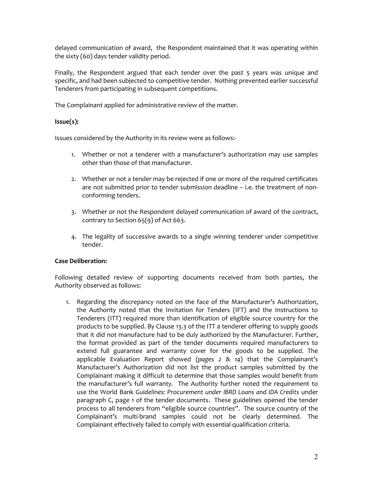delayed communication of award, the Respondent maintained that it was operating within the sixty (60) days tender validity period.

Finally, the Respondent argued that each tender over the past 5 years was unique and specific, and had been subjected to competitive tender. Nothing prevented earlier successful Tenderers from participating in subsequent competitions.

The Complainant applied for administrative review of the matter.

### **Issue(s):**

Issues considered by the Authority in its review were as follows:-

- 1. Whether or not a tenderer with a manufacturer's authorization may use samples other than those of that manufacturer.
- 2. Whether or not a tender may be rejected if one or more of the required certificates are not submitted prior to tender submission deadline – i.e. the treatment of nonconforming tenders.
- 3. Whether or not the Respondent delayed communication of award of the contract, contrary to Section 65(9) of Act 663.
- 4. The legality of successive awards to a single winning tenderer under competitive tender.

#### **Case Deliberation:**

Following detailed review of supporting documents received from both parties, the Authority observed as follows:

1. Regarding the discrepancy noted on the face of the Manufacturer's Authorization, the Authority noted that the Invitation for Tenders (IFT) and the Instructions to Tenderers (ITT) required more than identification of eligible source country for the products to be supplied. By Clause 13.3 of the ITT a tenderer offering to supply goods that it did not manufacture had to be duly authorized by the Manufacturer. Further, the format provided as part of the tender documents required manufacturers to extend full guarantee and warranty cover for the goods to be supplied. The applicable Evaluation Report showed (*pages 2 & 14*) that the Complainant's Manufacturer's Authorization did not list the product samples submitted by the Complainant making it difficult to determine that those samples would benefit from the manufacturer's full warranty. The Authority further noted the requirement to use the World Bank *Guidelines: Procurement under IBRD Loans and IDA Credits* under paragraph C, page 1 of the tender documents. These guidelines opened the tender process to all tenderers from "eligible source countries". The source country of the Complainant's multi-brand samples could not be clearly determined. The Complainant effectively failed to comply with essential qualification criteria.